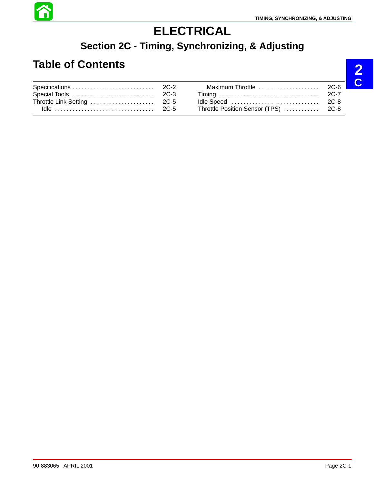

# **ELECTRICAL**

## **Section 2C - Timing, Synchronizing, & Adjusting**

# **Table of Contents**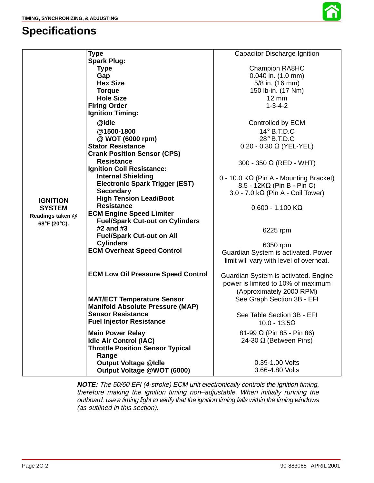## **Specifications**



|                                                                      | <b>Type</b>                               | Capacitor Discharge Ignition                  |
|----------------------------------------------------------------------|-------------------------------------------|-----------------------------------------------|
|                                                                      | <b>Spark Plug:</b>                        |                                               |
|                                                                      | <b>Type</b>                               | <b>Champion RA8HC</b>                         |
|                                                                      | Gap                                       | $0.040$ in. $(1.0$ mm)                        |
|                                                                      | <b>Hex Size</b>                           | 5/8 in. (16 mm)                               |
|                                                                      | <b>Torque</b>                             | 150 lb-in. (17 Nm)                            |
|                                                                      | <b>Hole Size</b>                          | $12 \text{ mm}$                               |
|                                                                      | <b>Firing Order</b>                       | $1 - 3 - 4 - 2$                               |
|                                                                      | <b>Ignition Timing:</b>                   |                                               |
|                                                                      | @Idle                                     | Controlled by ECM                             |
|                                                                      | @1500-1800                                | 14° B.T.D.C                                   |
|                                                                      | @ WOT (6000 rpm)                          | 28° B.T.D.C                                   |
|                                                                      | <b>Stator Resistance</b>                  | $0.20 - 0.30 \Omega$ (YEL-YEL)                |
| <b>IGNITION</b><br><b>SYSTEM</b><br>Readings taken @<br>68°F (20°C). | <b>Crank Position Sensor (CPS)</b>        |                                               |
|                                                                      | <b>Resistance</b>                         | 300 - 350 $\Omega$ (RED - WHT)                |
|                                                                      | <b>Ignition Coil Resistance:</b>          |                                               |
|                                                                      | <b>Internal Shielding</b>                 | $0 - 10.0 K\Omega$ (Pin A - Mounting Bracket) |
|                                                                      | <b>Electronic Spark Trigger (EST)</b>     | $8.5 - 12K\Omega$ (Pin B - Pin C)             |
|                                                                      | <b>Secondary</b>                          | 3.0 - 7.0 k $\Omega$ (Pin A - Coil Tower)     |
|                                                                      | <b>High Tension Lead/Boot</b>             |                                               |
|                                                                      | <b>Resistance</b>                         | $0.600 - 1.100$ K $\Omega$                    |
|                                                                      | <b>ECM Engine Speed Limiter</b>           |                                               |
|                                                                      | <b>Fuel/Spark Cut-out on Cylinders</b>    |                                               |
|                                                                      | #2 and #3                                 | 6225 rpm                                      |
|                                                                      | <b>Fuel/Spark Cut-out on All</b>          |                                               |
|                                                                      | <b>Cylinders</b>                          | 6350 rpm                                      |
|                                                                      | <b>ECM Overheat Speed Control</b>         | Guardian System is activated. Power           |
|                                                                      |                                           |                                               |
|                                                                      |                                           | limit will vary with level of overheat.       |
|                                                                      | <b>ECM Low Oil Pressure Speed Control</b> | Guardian System is activated. Engine          |
|                                                                      |                                           | power is limited to 10% of maximum            |
|                                                                      |                                           | (Approximately 2000 RPM)                      |
|                                                                      | <b>MAT/ECT Temperature Sensor</b>         | See Graph Section 3B - EFI                    |
|                                                                      | <b>Manifold Absolute Pressure (MAP)</b>   |                                               |
|                                                                      | <b>Sensor Resistance</b>                  |                                               |
|                                                                      | <b>Fuel Injector Resistance</b>           | See Table Section 3B - EFI                    |
|                                                                      |                                           | $10.0 - 13.5\Omega$                           |
|                                                                      | <b>Main Power Relay</b>                   | $81 - 99 \Omega$ (Pin 85 - Pin 86)            |
|                                                                      | <b>Idle Air Control (IAC)</b>             | 24-30 $\Omega$ (Between Pins)                 |
|                                                                      | <b>Throttle Position Sensor Typical</b>   |                                               |
|                                                                      | Range                                     |                                               |
|                                                                      | <b>Output Voltage @Idle</b>               | 0.39-1.00 Volts                               |
|                                                                      | Output Voltage @WOT (6000)                | 3.66-4.80 Volts                               |

**NOTE:** The 50/60 EFI (4-stroke) ECM unit electronically controls the ignition timing, therefore making the ignition timing non–adjustable. When initially running the outboard, use a timing light to verify that the ignition timing falls within the timing windows (as outlined in this section).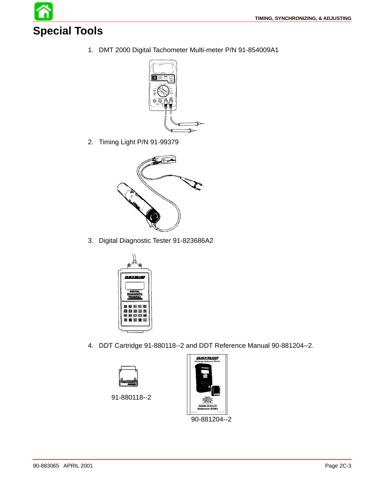**Special Tools**

1. DMT 2000 Digital Tachometer Multi-meter P/N 91-854009A1



2. Timing Light P/N 91-99379



3. Digital Diagnostic Tester 91-823686A2



4. DDT Cartridge 91-880118--2 and DDT Reference Manual 90-881204--2.



91-880118--2



90-881204--2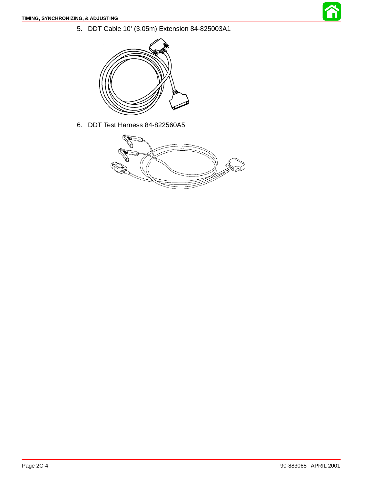<span id="page-3-0"></span>5. DDT Cable 10' (3.05m) Extension 84-825003A1



6. DDT Test Harness 84-822560A5

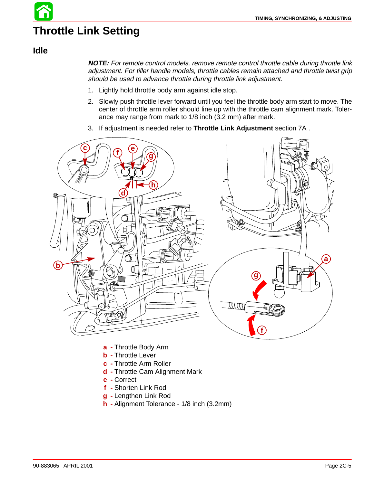# **Throttle Link Setting**

#### **Idle**

**NOTE:** For remote control models, remove remote control throttle cable during throttle link adjustment. For tiller handle models, throttle cables remain attached and throttle twist grip should be used to advance throttle during throttle link adjustment.

- 1. Lightly hold throttle body arm against idle stop.
- 2. Slowly push throttle lever forward until you feel the throttle body arm start to move. The center of throttle arm roller should line up with the throttle cam alignment mark. Tolerance may range from mark to 1/8 inch (3.2 mm) after mark.
- 3. If adjustment is needed refer to **Throttle Link Adjustment** section 7A .



- **a -** Throttle Body Arm
- **b -** Throttle Lever
- **c -** Throttle Arm Roller
- **d -** Throttle Cam Alignment Mark
- **e -** Correct
- **f -** Shorten Link Rod
- **g -** Lengthen Link Rod
- **h -** Alignment Tolerance 1/8 inch (3.2mm)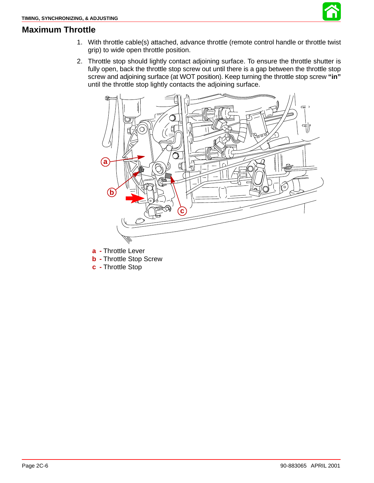

#### **Maximum Throttle**

- 1. With throttle cable(s) attached, advance throttle (remote control handle or throttle twist grip) to wide open throttle position.
- 2. Throttle stop should lightly contact adjoining surface. To ensure the throttle shutter is fully open, back the throttle stop screw out until there is a gap between the throttle stop screw and adjoining surface (at WOT position). Keep turning the throttle stop screw **"in"** until the throttle stop lightly contacts the adjoining surface.



**a -** Throttle Lever

- **b -** Throttle Stop Screw
- **c -** Throttle Stop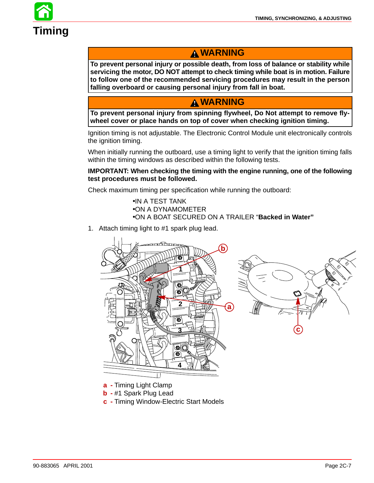

### **WARNING**

**To prevent personal injury or possible death, from loss of balance or stability while servicing the motor, DO NOT attempt to check timing while boat is in motion. Failure to follow one of the recommended servicing procedures may result in the person falling overboard or causing personal injury from fall in boat.**

### **WARNING**

**To prevent personal injury from spinning flywheel, Do Not attempt to remove flywheel cover or place hands on top of cover when checking ignition timing.**

Ignition timing is not adjustable. The Electronic Control Module unit electronically controls the ignition timing.

When initially running the outboard, use a timing light to verify that the ignition timing falls within the timing windows as described within the following tests.

#### **IMPORTANT: When checking the timing with the engine running, one of the following test procedures must be followed.**

Check maximum timing per specification while running the outboard:

•IN A TEST TANK •ON A DYNAMOMETER •ON A BOAT SECURED ON A TRAILER "**Backed in Water"**

1. Attach timing light to #1 spark plug lead.





**a -** Timing Light Clamp

- **b -** #1 Spark Plug Lead
- **c -** Timing Window-Electric Start Models